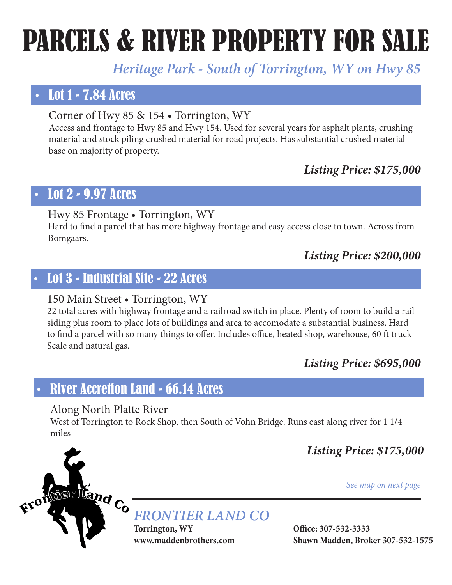# PARCELS & RIVER PROPERTY FOR SALE

# *Heritage Park - South of Torrington, WY on Hwy 85*

# • Lot 1 - 7.84 Acres

Corner of Hwy 85 & 154 • Torrington, WY

Access and frontage to Hwy 85 and Hwy 154. Used for several years for asphalt plants, crushing material and stock piling crushed material for road projects. Has substantial crushed material base on majority of property.

#### *Listing Price: \$175,000*

## • Lot 2 - 9.97 Acres

#### Hwy 85 Frontage • Torrington, WY

Hard to find a parcel that has more highway frontage and easy access close to town. Across from Bomgaars.

#### *Listing Price: \$200,000*

# • Lot 3 - Industrial Site - 22 Acres

#### 150 Main Street • Torrington, WY

22 total acres with highway frontage and a railroad switch in place. Plenty of room to build a rail siding plus room to place lots of buildings and area to accomodate a substantial business. Hard to find a parcel with so many things to offer. Includes office, heated shop, warehouse, 60 ft truck Scale and natural gas.

#### *Listing Price: \$695,000*

## • River Accretion Land - 66.14 Acres

#### Along North Platte River

West of Torrington to Rock Shop, then South of Vohn Bridge. Runs east along river for 1 1/4 miles

*Listing Price: \$175,000*

*See map on next page*



**Torrington, WY Office: 307-532-3333 www.maddenbrothers.com Shawn Madden, Broker 307-532-1575**